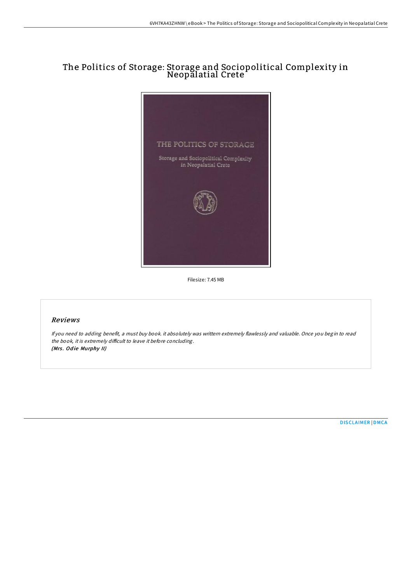## The Politics of Storage: Storage and Sociopolitical Complexity in Neopalatial Crete



Filesize: 7.45 MB

## Reviews

If you need to adding benefit, <sup>a</sup> must buy book. it absolutely was writtern extremely flawlessly and valuable. Once you begin to read the book, it is extremely difficult to leave it before concluding. (Mrs. Odie Murphy II)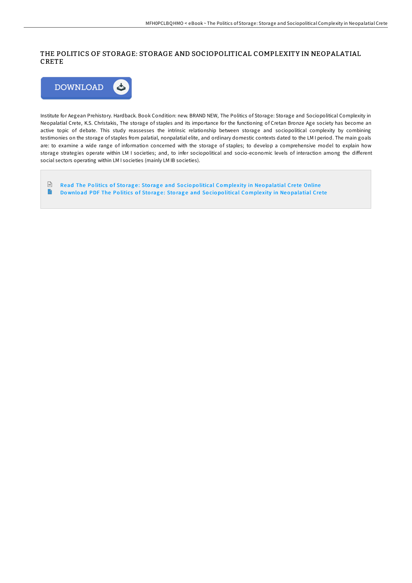## THE POLITICS OF STORAGE: STORAGE AND SOCIOPOLITICAL COMPLEXITY IN NEOPALATIAL CRETE



Institute for Aegean Prehistory. Hardback. Book Condition: new. BRAND NEW, The Politics of Storage: Storage and Sociopolitical Complexity in Neopalatial Crete, K.S. Christakis, The storage of staples and its importance for the functioning of Cretan Bronze Age society has become an active topic of debate. This study reassesses the intrinsic relationship between storage and sociopolitical complexity by combining testimonies on the storage of staples from palatial, nonpalatial elite, and ordinary domestic contexts dated to the LM I period. The main goals are: to examine a wide range of information concerned with the storage of staples; to develop a comprehensive model to explain how storage strategies operate within LM I societies; and, to infer sociopolitical and socio-economic levels of interaction among the different social sectors operating within LM I societies (mainly LM IB societies).

 $\begin{array}{|c|} \hline \mathbf{b} \end{array}$ Read The Politics of Storage: Storage and Sociopolitical Complexity in Neo[palatial](http://almighty24.tech/the-politics-of-storage-storage-and-sociopolitic.html) Crete Online Download PDF The Politics of Storage: Storage and Sociopolitical Complexity in Neo[palatial](http://almighty24.tech/the-politics-of-storage-storage-and-sociopolitic.html) Crete